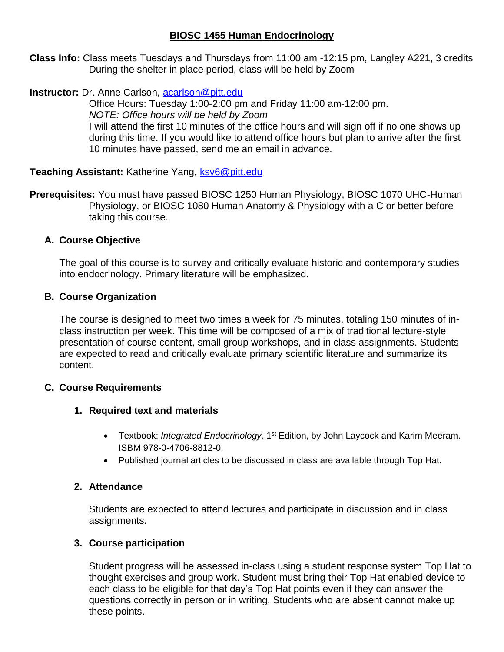# **BIOSC 1455 Human Endocrinology**

**Class Info:** Class meets Tuesdays and Thursdays from 11:00 am -12:15 pm, Langley A221, 3 credits During the shelter in place period, class will be held by Zoom

# **Instructor:** Dr. Anne Carlson, [acarlson@pitt.edu](mailto:acarlson@pitt.edu)

Office Hours: Tuesday 1:00-2:00 pm and Friday 11:00 am-12:00 pm. *NOTE: Office hours will be held by Zoom* I will attend the first 10 minutes of the office hours and will sign off if no one shows up during this time. If you would like to attend office hours but plan to arrive after the first 10 minutes have passed, send me an email in advance.

## **Teaching Assistant: Katherine Yang, [ksy6@pitt.edu](mailto:ksy6@pitt.edu)**

**Prerequisites:** You must have passed BIOSC 1250 Human Physiology, BIOSC 1070 UHC-Human Physiology, or BIOSC 1080 Human Anatomy & Physiology with a C or better before taking this course.

## **A. Course Objective**

The goal of this course is to survey and critically evaluate historic and contemporary studies into endocrinology. Primary literature will be emphasized.

## **B. Course Organization**

The course is designed to meet two times a week for 75 minutes, totaling 150 minutes of inclass instruction per week. This time will be composed of a mix of traditional lecture-style presentation of course content, small group workshops, and in class assignments. Students are expected to read and critically evaluate primary scientific literature and summarize its content.

## **C. Course Requirements**

## **1. Required text and materials**

- Textbook: *Integrated Endocrinology,* 1<sup>st</sup> Edition, by John Laycock and Karim Meeram. ISBM 978-0-4706-8812-0.
- Published journal articles to be discussed in class are available through Top Hat.

## **2. Attendance**

Students are expected to attend lectures and participate in discussion and in class assignments.

## **3. Course participation**

Student progress will be assessed in-class using a student response system Top Hat to thought exercises and group work. Student must bring their Top Hat enabled device to each class to be eligible for that day's Top Hat points even if they can answer the questions correctly in person or in writing. Students who are absent cannot make up these points.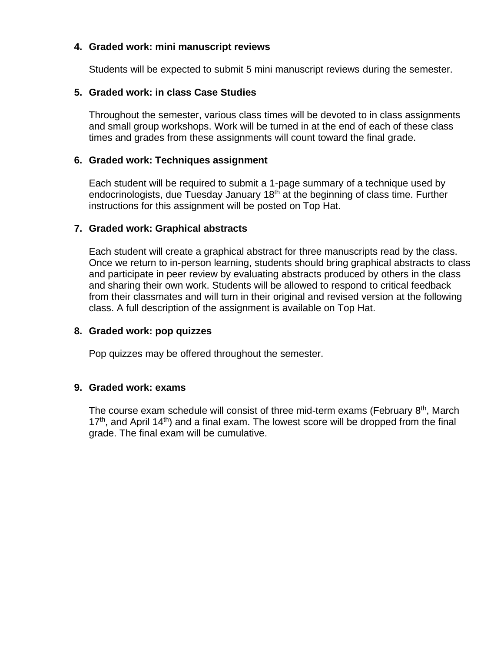## **4. Graded work: mini manuscript reviews**

Students will be expected to submit 5 mini manuscript reviews during the semester.

## **5. Graded work: in class Case Studies**

Throughout the semester, various class times will be devoted to in class assignments and small group workshops. Work will be turned in at the end of each of these class times and grades from these assignments will count toward the final grade.

## **6. Graded work: Techniques assignment**

Each student will be required to submit a 1-page summary of a technique used by endocrinologists, due Tuesday January 18<sup>th</sup> at the beginning of class time. Further instructions for this assignment will be posted on Top Hat.

## **7. Graded work: Graphical abstracts**

Each student will create a graphical abstract for three manuscripts read by the class. Once we return to in-person learning, students should bring graphical abstracts to class and participate in peer review by evaluating abstracts produced by others in the class and sharing their own work. Students will be allowed to respond to critical feedback from their classmates and will turn in their original and revised version at the following class. A full description of the assignment is available on Top Hat.

## **8. Graded work: pop quizzes**

Pop quizzes may be offered throughout the semester.

## **9. Graded work: exams**

The course exam schedule will consist of three mid-term exams (February 8<sup>th</sup>, March  $17<sup>th</sup>$ , and April  $14<sup>th</sup>$ ) and a final exam. The lowest score will be dropped from the final grade. The final exam will be cumulative.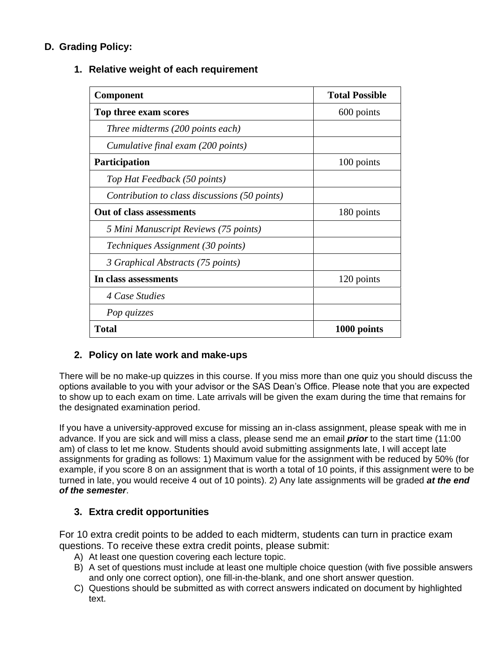# **D. Grading Policy:**

## **1. Relative weight of each requirement**

| <b>Component</b>                              | <b>Total Possible</b> |
|-----------------------------------------------|-----------------------|
| Top three exam scores                         | 600 points            |
| Three midterms (200 points each)              |                       |
| Cumulative final exam (200 points)            |                       |
| <b>Participation</b>                          | 100 points            |
| Top Hat Feedback (50 points)                  |                       |
| Contribution to class discussions (50 points) |                       |
| Out of class assessments                      | 180 points            |
| 5 Mini Manuscript Reviews (75 points)         |                       |
| Techniques Assignment (30 points)             |                       |
| 3 Graphical Abstracts (75 points)             |                       |
| In class assessments                          | 120 points            |
| 4 Case Studies                                |                       |
| Pop quizzes                                   |                       |
| <b>Total</b>                                  | 1000 points           |

## **2. Policy on late work and make-ups**

There will be no make-up quizzes in this course. If you miss more than one quiz you should discuss the options available to you with your advisor or the SAS Dean's Office. Please note that you are expected to show up to each exam on time. Late arrivals will be given the exam during the time that remains for the designated examination period.

If you have a university-approved excuse for missing an in-class assignment, please speak with me in advance. If you are sick and will miss a class, please send me an email *prior* to the start time (11:00 am) of class to let me know. Students should avoid submitting assignments late, I will accept late assignments for grading as follows: 1) Maximum value for the assignment with be reduced by 50% (for example, if you score 8 on an assignment that is worth a total of 10 points, if this assignment were to be turned in late, you would receive 4 out of 10 points). 2) Any late assignments will be graded *at the end of the semester*.

## **3. Extra credit opportunities**

For 10 extra credit points to be added to each midterm, students can turn in practice exam questions. To receive these extra credit points, please submit:

- A) At least one question covering each lecture topic.
- B) A set of questions must include at least one multiple choice question (with five possible answers and only one correct option), one fill-in-the-blank, and one short answer question.
- C) Questions should be submitted as with correct answers indicated on document by highlighted text.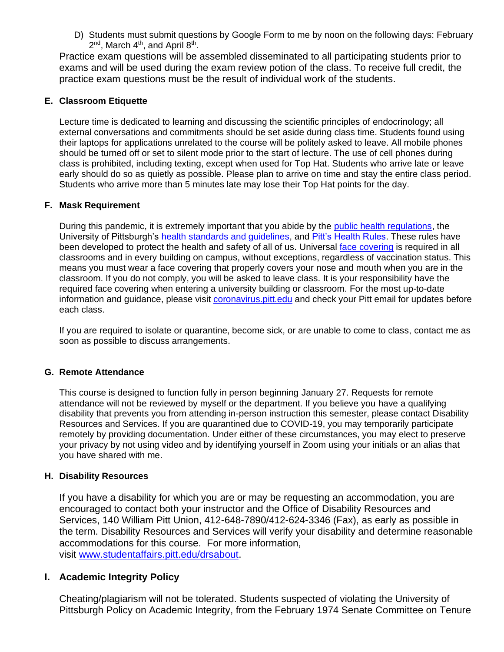D) Students must submit questions by Google Form to me by noon on the following days: February  $2^{\text{nd}}$ , March 4<sup>th</sup>, and April 8<sup>th</sup>.

Practice exam questions will be assembled disseminated to all participating students prior to exams and will be used during the exam review potion of the class. To receive full credit, the practice exam questions must be the result of individual work of the students.

#### **E. Classroom Etiquette**

Lecture time is dedicated to learning and discussing the scientific principles of endocrinology; all external conversations and commitments should be set aside during class time. Students found using their laptops for applications unrelated to the course will be politely asked to leave. All mobile phones should be turned off or set to silent mode prior to the start of lecture. The use of cell phones during class is prohibited, including texting, except when used for Top Hat. Students who arrive late or leave early should do so as quietly as possible. Please plan to arrive on time and stay the entire class period. Students who arrive more than 5 minutes late may lose their Top Hat points for the day.

#### **F. Mask Requirement**

During this pandemic, it is extremely important that you abide by the [public health regulations,](https://www.alleghenycounty.us/Health-Department/Resources/COVID-19/COVID-19.aspx) the University of Pittsburgh's [health standards and guidelines,](https://www.policy.pitt.edu/university-policies-and-procedures/covid-19-standards-and-guidelines) and [Pitt's Health Rules.](https://www.coronavirus.pitt.edu/healthy-community/pitts-health-rules) These rules have been developed to protect the health and safety of all of us. Universal [face covering](https://www.coronavirus.pitt.edu/frequently-asked-questions-about-face-coverings) is required in all classrooms and in every building on campus, without exceptions, regardless of vaccination status. This means you must wear a face covering that properly covers your nose and mouth when you are in the classroom. If you do not comply, you will be asked to leave class. It is your responsibility have the required face covering when entering a university building or classroom. For the most up-to-date information and guidance, please visit [coronavirus.pitt.edu](http://coronavirus.pitt.edu/) and check your Pitt email for updates before each class.

If you are required to isolate or quarantine, become sick, or are unable to come to class, contact me as soon as possible to discuss arrangements.

#### **G. Remote Attendance**

This course is designed to function fully in person beginning January 27. Requests for remote attendance will not be reviewed by myself or the department. If you believe you have a qualifying disability that prevents you from attending in-person instruction this semester, please contact Disability Resources and Services. If you are quarantined due to COVID-19, you may temporarily participate remotely by providing documentation. Under either of these circumstances, you may elect to preserve your privacy by not using video and by identifying yourself in Zoom using your initials or an alias that you have shared with me.

#### **H. Disability Resources**

If you have a disability for which you are or may be requesting an accommodation, you are encouraged to contact both your instructor and the Office of Disability Resources and Services, 140 William Pitt Union, 412-648-7890/412-624-3346 (Fax), as early as possible in the term. Disability Resources and Services will verify your disability and determine reasonable accommodations for this course. For more information, visit [www.studentaffairs.pitt.edu/drsabout.](http://www.studentaffairs.pitt.edu/drsabout)

#### **I. Academic Integrity Policy**

Cheating/plagiarism will not be tolerated. Students suspected of violating the University of Pittsburgh Policy on Academic Integrity, from the February 1974 Senate Committee on Tenure